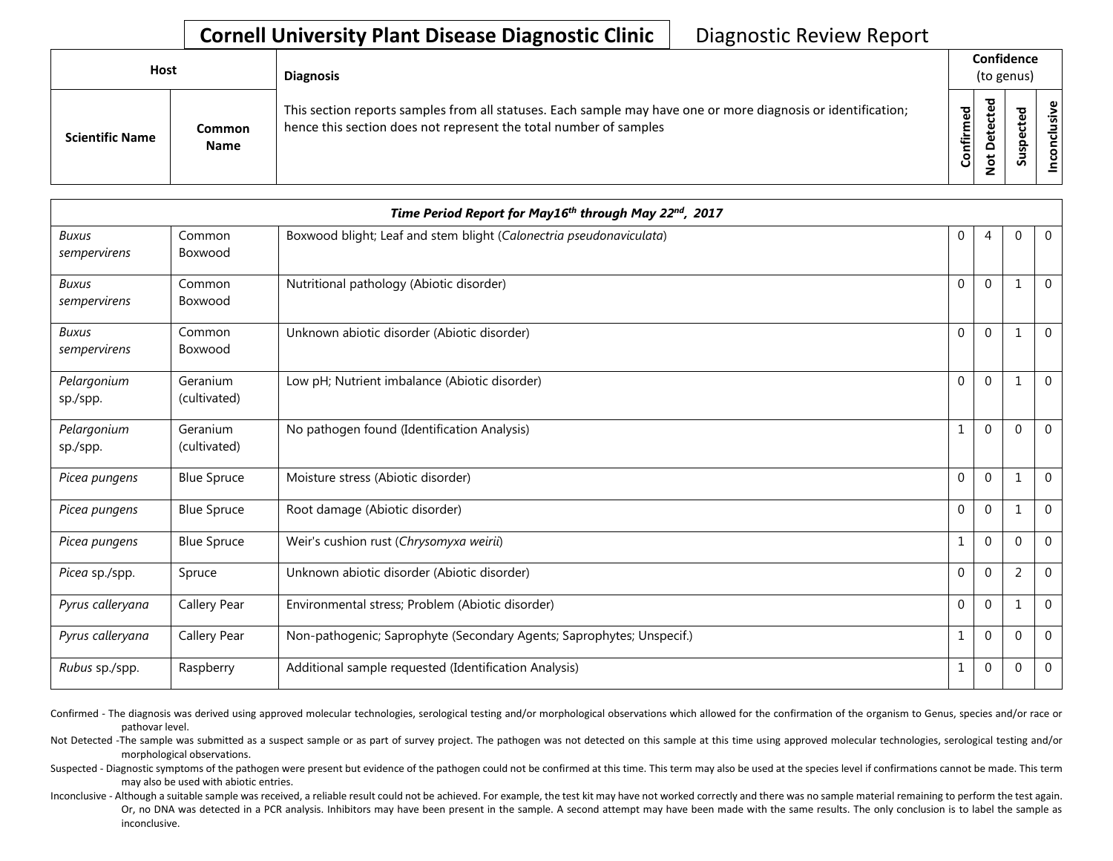## **Cornell University Plant Disease Diagnostic Clinic** | Diagnostic Review Report

| <b>Host</b>            |                       | <b>Diagnosis</b>                                                                                                                                                                   |                        | Confidence<br>(to genus)                  |                          |          |  |
|------------------------|-----------------------|------------------------------------------------------------------------------------------------------------------------------------------------------------------------------------|------------------------|-------------------------------------------|--------------------------|----------|--|
| <b>Scientific Name</b> | Common<br><b>Name</b> | This section reports samples from all statuses. Each sample may have one or more diagnosis or identification;<br>hence this section does not represent the total number of samples | ਠ<br>Ō<br>Ē<br>Confiri | ᇃ<br>ڢ<br>ن<br>ق<br>Φ<br>c<br>پ<br>Ö<br>- | ᇃ<br>∾<br>S<br><u>ທັ</u> | ഄ<br>siy |  |

|                              |                          | Time Period Report for May16th through May 22nd, 2017                 |              |                |             |                |
|------------------------------|--------------------------|-----------------------------------------------------------------------|--------------|----------------|-------------|----------------|
| <b>Buxus</b><br>sempervirens | Common<br>Boxwood        | Boxwood blight; Leaf and stem blight (Calonectria pseudonaviculata)   | 0            | $\overline{4}$ | $\Omega$    | $\overline{0}$ |
| <b>Buxus</b><br>sempervirens | Common<br>Boxwood        | Nutritional pathology (Abiotic disorder)                              | $\mathbf{0}$ | $\mathbf 0$    |             | $\mathbf 0$    |
| Buxus<br>sempervirens        | Common<br>Boxwood        | Unknown abiotic disorder (Abiotic disorder)                           | $\Omega$     | $\Omega$       | 1           | $\mathbf 0$    |
| Pelargonium<br>sp./spp.      | Geranium<br>(cultivated) | Low pH; Nutrient imbalance (Abiotic disorder)                         | $\mathbf{0}$ | $\mathbf{0}$   |             | $\overline{0}$ |
| Pelargonium<br>sp./spp.      | Geranium<br>(cultivated) | No pathogen found (Identification Analysis)                           |              | $\mathbf{0}$   | $\Omega$    | $\overline{0}$ |
| Picea pungens                | <b>Blue Spruce</b>       | Moisture stress (Abiotic disorder)                                    | $\mathbf{0}$ | $\mathbf{0}$   |             | $\mathbf 0$    |
| Picea pungens                | <b>Blue Spruce</b>       | Root damage (Abiotic disorder)                                        | $\mathbf{0}$ | $\mathbf{0}$   |             | $\overline{0}$ |
| Picea pungens                | <b>Blue Spruce</b>       | Weir's cushion rust (Chrysomyxa weirii)                               | 1            | $\mathbf 0$    | $\Omega$    | $\overline{0}$ |
| Picea sp./spp.               | Spruce                   | Unknown abiotic disorder (Abiotic disorder)                           | 0            | $\mathbf{0}$   | 2           | $\overline{0}$ |
| Pyrus calleryana             | Callery Pear             | Environmental stress; Problem (Abiotic disorder)                      | $\mathbf{0}$ | $\mathbf{0}$   |             | $\overline{0}$ |
| Pyrus calleryana             | Callery Pear             | Non-pathogenic; Saprophyte (Secondary Agents; Saprophytes; Unspecif.) | 1            | $\mathbf{0}$   | $\Omega$    | $\mathbf 0$    |
| Rubus sp./spp.               | Raspberry                | Additional sample requested (Identification Analysis)                 | $\mathbf{1}$ | $\mathbf{0}$   | $\mathbf 0$ | $\mathbf 0$    |

Confirmed - The diagnosis was derived using approved molecular technologies, serological testing and/or morphological observations which allowed for the confirmation of the organism to Genus, species and/or race or pathovar level.

Not Detected -The sample was submitted as a suspect sample or as part of survey project. The pathogen was not detected on this sample at this time using approved molecular technologies, serological testing and/or morphological observations.

Suspected - Diagnostic symptoms of the pathogen were present but evidence of the pathogen could not be confirmed at this time. This term may also be used at the species level if confirmations cannot be made. This term may also be used with abiotic entries.

Inconclusive - Although a suitable sample was received, a reliable result could not be achieved. For example, the test kit may have not worked correctly and there was no sample material remaining to perform the test again. Or, no DNA was detected in a PCR analysis. Inhibitors may have been present in the sample. A second attempt may have been made with the same results. The only conclusion is to label the sample as inconclusive.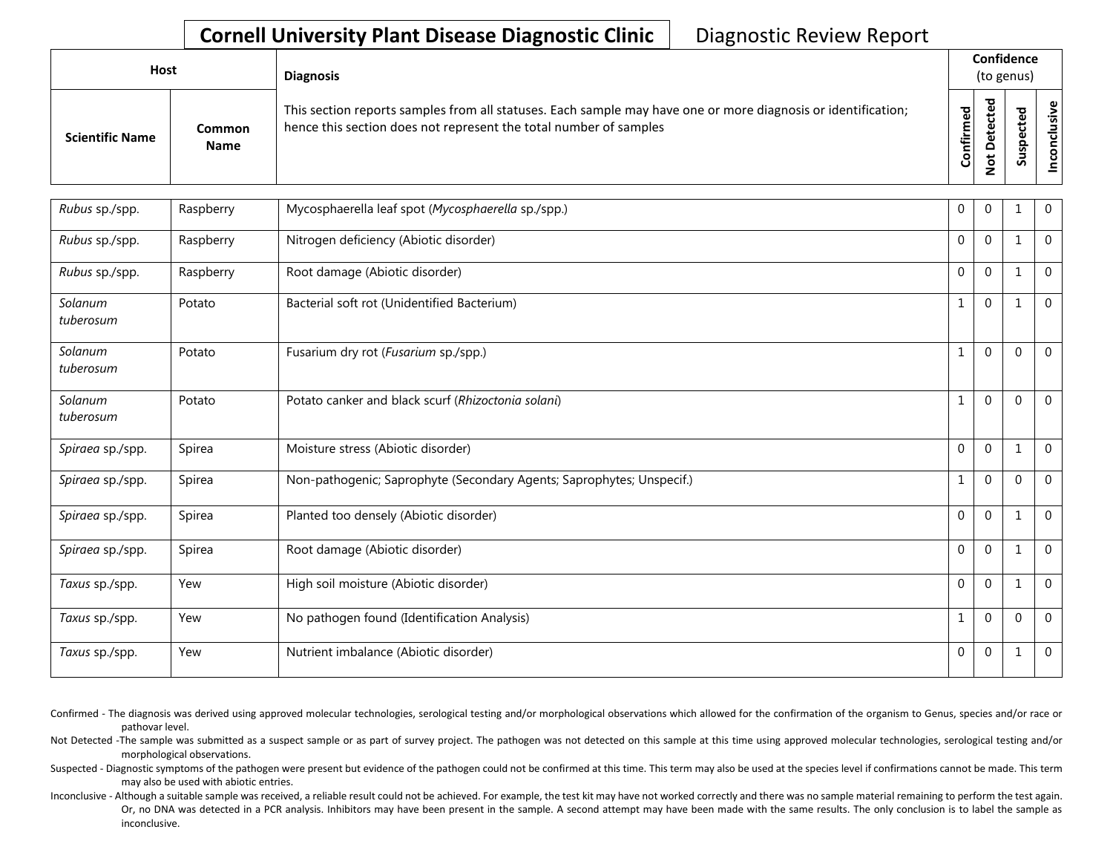## **Cornell University Plant Disease Diagnostic Clinic** | Diagnostic Review Report

| Host                   |                              | <b>Diagnosis</b>                                                                                                                                                                   |                    | Confidence<br>(to genus) |             |        |  |  |
|------------------------|------------------------------|------------------------------------------------------------------------------------------------------------------------------------------------------------------------------------|--------------------|--------------------------|-------------|--------|--|--|
| <b>Scientific Name</b> | <b>Common</b><br><b>Name</b> | This section reports samples from all statuses. Each sample may have one or more diagnosis or identification;<br>hence this section does not represent the total number of samples | ිල<br>ම<br>Confirm | ᇃ<br>Φ<br>c<br>Φ         | ௨<br>s<br>ഗ | ω<br>8 |  |  |

| Rubus sp./spp.       | Raspberry | Mycosphaerella leaf spot (Mycosphaerella sp./spp.)                    | $\Omega$     | $\Omega$     |              | $\mathbf 0$    |
|----------------------|-----------|-----------------------------------------------------------------------|--------------|--------------|--------------|----------------|
| Rubus sp./spp.       | Raspberry | Nitrogen deficiency (Abiotic disorder)                                | $\theta$     | $\Omega$     |              | $\Omega$       |
| Rubus sp./spp.       | Raspberry | Root damage (Abiotic disorder)                                        | $\Omega$     | $\mathbf{0}$ | 1            | $\mathbf 0$    |
| Solanum<br>tuberosum | Potato    | Bacterial soft rot (Unidentified Bacterium)                           | $\mathbf{1}$ | $\mathbf{0}$ | 1            | $\mathbf{0}$   |
| Solanum<br>tuberosum | Potato    | Fusarium dry rot (Fusarium sp./spp.)                                  | $\mathbf{1}$ | $\Omega$     | $\Omega$     | $\overline{0}$ |
| Solanum<br>tuberosum | Potato    | Potato canker and black scurf (Rhizoctonia solani)                    | 1            | $\Omega$     | $\Omega$     | $\mathbf 0$    |
| Spiraea sp./spp.     | Spirea    | Moisture stress (Abiotic disorder)                                    | $\mathbf 0$  | $\mathbf{0}$ |              | $\overline{0}$ |
| Spiraea sp./spp.     | Spirea    | Non-pathogenic; Saprophyte (Secondary Agents; Saprophytes; Unspecif.) | $\mathbf{1}$ | $\Omega$     | $\Omega$     | $\Omega$       |
| Spiraea sp./spp.     | Spirea    | Planted too densely (Abiotic disorder)                                | $\theta$     | $\Omega$     | 1            | $\overline{0}$ |
| Spiraea sp./spp.     | Spirea    | Root damage (Abiotic disorder)                                        | $\theta$     | $\Omega$     | $\mathbf{1}$ | $\Omega$       |
| Taxus sp./spp.       | Yew       | High soil moisture (Abiotic disorder)                                 | $\Omega$     | $\Omega$     |              | $\Omega$       |
| Taxus sp./spp.       | Yew       | No pathogen found (Identification Analysis)                           | $\mathbf{1}$ | $\mathbf{0}$ | $\Omega$     | $\mathbf 0$    |
| Taxus sp./spp.       | Yew       | Nutrient imbalance (Abiotic disorder)                                 | $\Omega$     | $\mathbf 0$  | 1            | $\mathbf 0$    |

Confirmed - The diagnosis was derived using approved molecular technologies, serological testing and/or morphological observations which allowed for the confirmation of the organism to Genus, species and/or race or pathovar level.

Not Detected -The sample was submitted as a suspect sample or as part of survey project. The pathogen was not detected on this sample at this time using approved molecular technologies, serological testing and/or morphological observations.

Suspected - Diagnostic symptoms of the pathogen were present but evidence of the pathogen could not be confirmed at this time. This term may also be used at the species level if confirmations cannot be made. This term may also be used with abiotic entries.

Inconclusive - Although a suitable sample was received, a reliable result could not be achieved. For example, the test kit may have not worked correctly and there was no sample material remaining to perform the test again. Or, no DNA was detected in a PCR analysis. Inhibitors may have been present in the sample. A second attempt may have been made with the same results. The only conclusion is to label the sample as inconclusive.